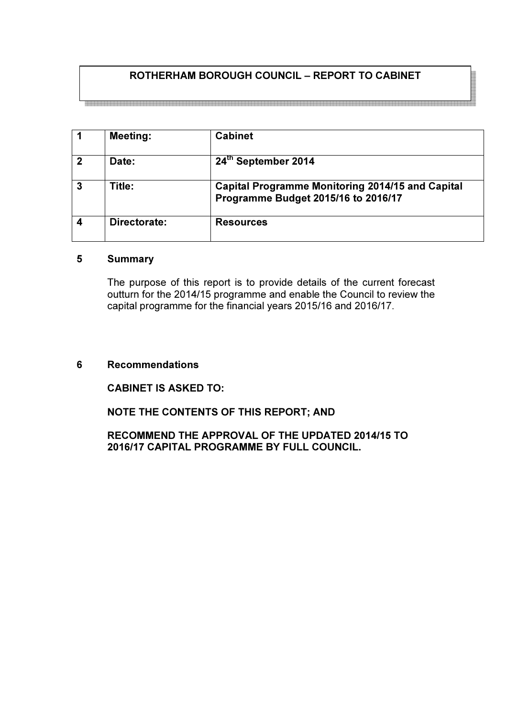# ROTHERHAM BOROUGH COUNCIL – REPORT TO CABINET

1 | Meeting: | Cabinet 2 Date: 24<sup>th</sup> September 2014 3 Title: Capital Programme Monitoring 2014/15 and Capital Programme Budget 2015/16 to 2016/17 4 Directorate: Resources

### 5 Summary

The purpose of this report is to provide details of the current forecast outturn for the 2014/15 programme and enable the Council to review the capital programme for the financial years 2015/16 and 2016/17.

#### 6 Recommendations

#### CABINET IS ASKED TO:

#### NOTE THE CONTENTS OF THIS REPORT; AND

#### RECOMMEND THE APPROVAL OF THE UPDATED 2014/15 TO 2016/17 CAPITAL PROGRAMME BY FULL COUNCIL.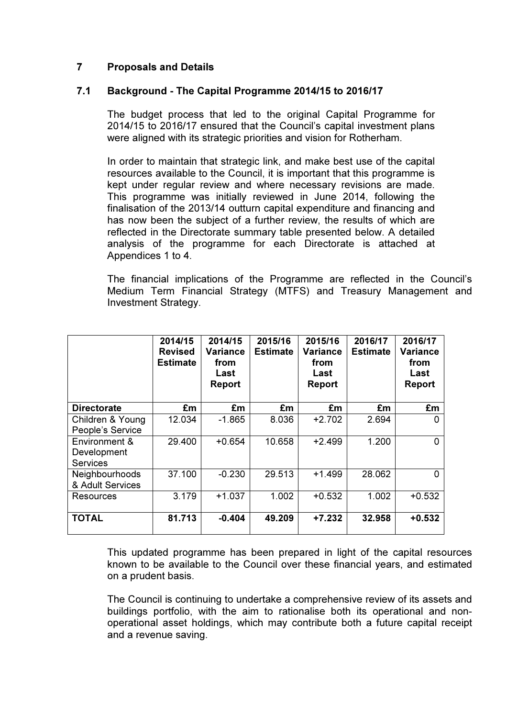# 7 Proposals and Details

#### 7.1 Background - The Capital Programme 2014/15 to 2016/17

The budget process that led to the original Capital Programme for 2014/15 to 2016/17 ensured that the Council's capital investment plans were aligned with its strategic priorities and vision for Rotherham.

In order to maintain that strategic link, and make best use of the capital resources available to the Council, it is important that this programme is kept under regular review and where necessary revisions are made. This programme was initially reviewed in June 2014, following the finalisation of the 2013/14 outturn capital expenditure and financing and has now been the subject of a further review, the results of which are reflected in the Directorate summary table presented below. A detailed analysis of the programme for each Directorate is attached at Appendices 1 to 4.

The financial implications of the Programme are reflected in the Council's Medium Term Financial Strategy (MTFS) and Treasury Management and Investment Strategy.

|                                                 | 2014/15<br><b>Revised</b><br><b>Estimate</b> | 2014/15<br>Variance<br>from<br>Last<br>Report | 2015/16<br><b>Estimate</b> | 2015/16<br>Variance<br>from<br>Last<br>Report | 2016/17<br><b>Estimate</b> | 2016/17<br>Variance<br>from<br>Last<br>Report |
|-------------------------------------------------|----------------------------------------------|-----------------------------------------------|----------------------------|-----------------------------------------------|----------------------------|-----------------------------------------------|
| <b>Directorate</b>                              | £m                                           | £m                                            | £m                         | £m                                            | £m                         | £m                                            |
| Children & Young<br>People's Service            | 12.034                                       | $-1.865$                                      | 8.036                      | $+2.702$                                      | 2.694                      | 0                                             |
| Environment &<br>Development<br><b>Services</b> | 29.400                                       | $+0.654$                                      | 10.658                     | $+2.499$                                      | 1.200                      | 0                                             |
| Neighbourhoods<br>& Adult Services              | 37.100                                       | $-0.230$                                      | 29.513                     | $+1.499$                                      | 28.062                     | <sup>0</sup>                                  |
| Resources                                       | 3.179                                        | $+1.037$                                      | 1.002                      | $+0.532$                                      | 1.002                      | $+0.532$                                      |
| <b>TOTAL</b>                                    | 81.713                                       | $-0.404$                                      | 49.209                     | +7.232                                        | 32.958                     | +0.532                                        |

This updated programme has been prepared in light of the capital resources known to be available to the Council over these financial years, and estimated on a prudent basis.

The Council is continuing to undertake a comprehensive review of its assets and buildings portfolio, with the aim to rationalise both its operational and nonoperational asset holdings, which may contribute both a future capital receipt and a revenue saving.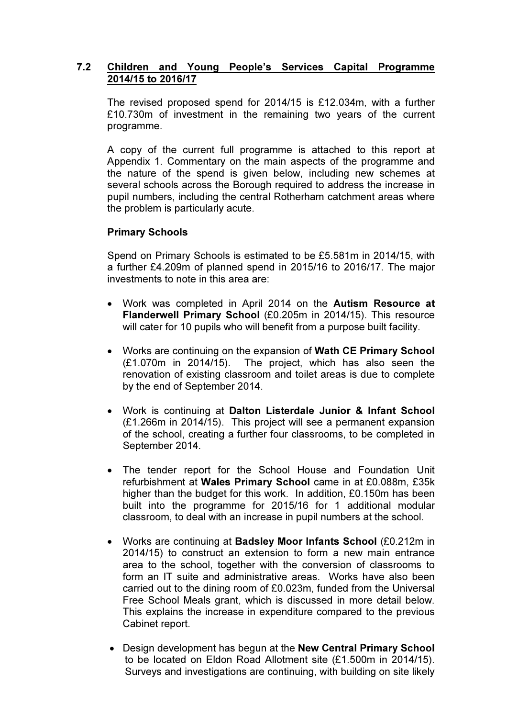### 7.2 Children and Young People's Services Capital Programme 2014/15 to 2016/17

The revised proposed spend for 2014/15 is £12.034m, with a further £10.730m of investment in the remaining two years of the current programme.

A copy of the current full programme is attached to this report at Appendix 1. Commentary on the main aspects of the programme and the nature of the spend is given below, including new schemes at several schools across the Borough required to address the increase in pupil numbers, including the central Rotherham catchment areas where the problem is particularly acute.

#### Primary Schools

Spend on Primary Schools is estimated to be £5.581m in 2014/15, with a further £4.209m of planned spend in 2015/16 to 2016/17. The major investments to note in this area are:

- Work was completed in April 2014 on the Autism Resource at Flanderwell Primary School (£0.205m in 2014/15). This resource will cater for 10 pupils who will benefit from a purpose built facility.
- Works are continuing on the expansion of Wath CE Primary School (£1.070m in 2014/15). The project, which has also seen the renovation of existing classroom and toilet areas is due to complete by the end of September 2014.
- Work is continuing at Dalton Listerdale Junior & Infant School (£1.266m in 2014/15). This project will see a permanent expansion of the school, creating a further four classrooms, to be completed in September 2014.
- The tender report for the School House and Foundation Unit refurbishment at Wales Primary School came in at £0.088m, £35k higher than the budget for this work. In addition, £0.150m has been built into the programme for 2015/16 for 1 additional modular classroom, to deal with an increase in pupil numbers at the school.
- Works are continuing at Badsley Moor Infants School (£0.212m in 2014/15) to construct an extension to form a new main entrance area to the school, together with the conversion of classrooms to form an IT suite and administrative areas. Works have also been carried out to the dining room of £0.023m, funded from the Universal Free School Meals grant, which is discussed in more detail below. This explains the increase in expenditure compared to the previous Cabinet report.
- Design development has begun at the New Central Primary School to be located on Eldon Road Allotment site (£1.500m in 2014/15). Surveys and investigations are continuing, with building on site likely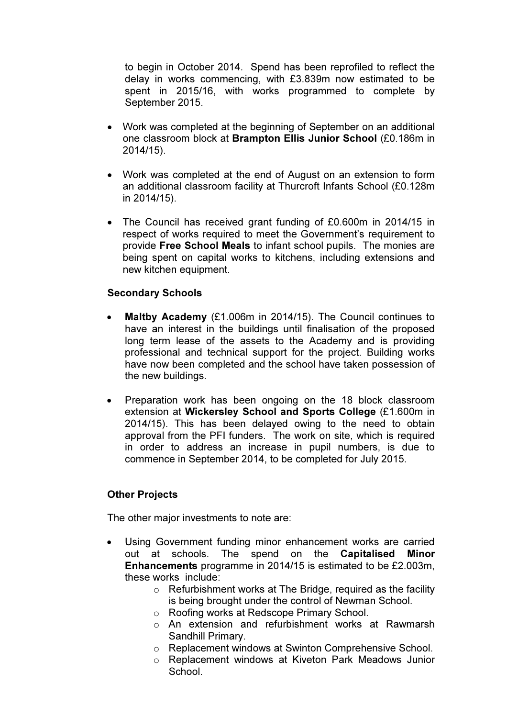to begin in October 2014. Spend has been reprofiled to reflect the delay in works commencing, with £3.839m now estimated to be spent in 2015/16, with works programmed to complete by September 2015.

- Work was completed at the beginning of September on an additional one classroom block at Brampton Ellis Junior School (£0.186m in 2014/15).
- Work was completed at the end of August on an extension to form an additional classroom facility at Thurcroft Infants School (£0.128m in 2014/15).
- The Council has received grant funding of £0.600m in 2014/15 in respect of works required to meet the Government's requirement to provide Free School Meals to infant school pupils. The monies are being spent on capital works to kitchens, including extensions and new kitchen equipment.

#### Secondary Schools

- Maltby Academy (£1.006m in 2014/15). The Council continues to have an interest in the buildings until finalisation of the proposed long term lease of the assets to the Academy and is providing professional and technical support for the project. Building works have now been completed and the school have taken possession of the new buildings.
- Preparation work has been ongoing on the 18 block classroom extension at Wickersley School and Sports College (£1.600m in 2014/15). This has been delayed owing to the need to obtain approval from the PFI funders. The work on site, which is required in order to address an increase in pupil numbers, is due to commence in September 2014, to be completed for July 2015.

# Other Projects

The other major investments to note are:

- Using Government funding minor enhancement works are carried out at schools. The spend on the Capitalised Minor Enhancements programme in 2014/15 is estimated to be £2.003m, these works include:
	- $\circ$  Refurbishment works at The Bridge, required as the facility is being brought under the control of Newman School.
	- o Roofing works at Redscope Primary School.
	- o An extension and refurbishment works at Rawmarsh Sandhill Primary.
	- o Replacement windows at Swinton Comprehensive School.
	- o Replacement windows at Kiveton Park Meadows Junior **School**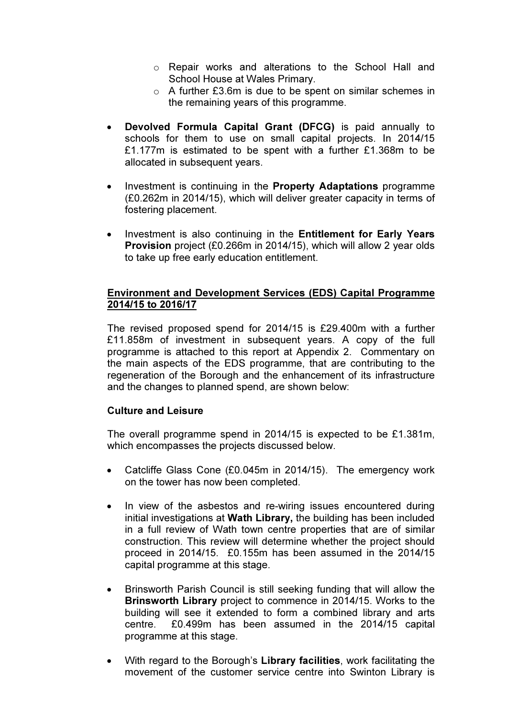- o Repair works and alterations to the School Hall and School House at Wales Primary.
- o A further £3.6m is due to be spent on similar schemes in the remaining years of this programme.
- Devolved Formula Capital Grant (DFCG) is paid annually to schools for them to use on small capital projects. In 2014/15 £1.177m is estimated to be spent with a further £1.368m to be allocated in subsequent years.
- Investment is continuing in the Property Adaptations programme (£0.262m in 2014/15), which will deliver greater capacity in terms of fostering placement.
- Investment is also continuing in the Entitlement for Early Years Provision project (£0.266m in 2014/15), which will allow 2 year olds to take up free early education entitlement.

## Environment and Development Services (EDS) Capital Programme 2014/15 to 2016/17

The revised proposed spend for 2014/15 is £29.400m with a further £11.858m of investment in subsequent years. A copy of the full programme is attached to this report at Appendix 2. Commentary on the main aspects of the EDS programme, that are contributing to the regeneration of the Borough and the enhancement of its infrastructure and the changes to planned spend, are shown below:

#### Culture and Leisure

The overall programme spend in 2014/15 is expected to be £1.381m, which encompasses the projects discussed below.

- Catcliffe Glass Cone (£0.045m in 2014/15). The emergency work on the tower has now been completed.
- In view of the asbestos and re-wiring issues encountered during initial investigations at Wath Library, the building has been included in a full review of Wath town centre properties that are of similar construction. This review will determine whether the project should proceed in 2014/15. £0.155m has been assumed in the 2014/15 capital programme at this stage.
- Brinsworth Parish Council is still seeking funding that will allow the Brinsworth Library project to commence in 2014/15. Works to the building will see it extended to form a combined library and arts centre. £0.499m has been assumed in the 2014/15 capital programme at this stage.
- With regard to the Borough's Library facilities, work facilitating the movement of the customer service centre into Swinton Library is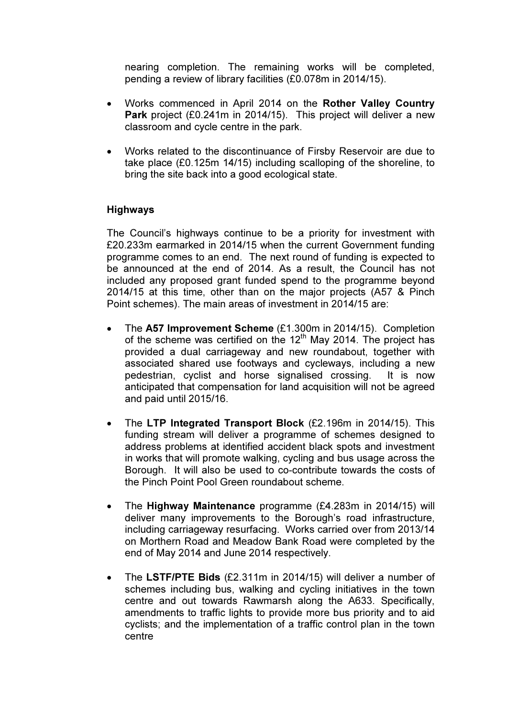nearing completion. The remaining works will be completed, pending a review of library facilities (£0.078m in 2014/15).

- Works commenced in April 2014 on the Rother Valley Country Park project (£0.241m in 2014/15). This project will deliver a new classroom and cycle centre in the park.
- Works related to the discontinuance of Firsby Reservoir are due to take place (£0.125m 14/15) including scalloping of the shoreline, to bring the site back into a good ecological state.

#### Highways

The Council's highways continue to be a priority for investment with £20.233m earmarked in 2014/15 when the current Government funding programme comes to an end. The next round of funding is expected to be announced at the end of 2014. As a result, the Council has not included any proposed grant funded spend to the programme beyond 2014/15 at this time, other than on the major projects (A57 & Pinch Point schemes). The main areas of investment in 2014/15 are:

- The A57 Improvement Scheme (£1.300m in 2014/15). Completion of the scheme was certified on the  $12<sup>th</sup>$  May 2014. The project has provided a dual carriageway and new roundabout, together with associated shared use footways and cycleways, including a new pedestrian, cyclist and horse signalised crossing. It is now anticipated that compensation for land acquisition will not be agreed and paid until 2015/16.
- The LTP Integrated Transport Block (£2.196m in 2014/15). This funding stream will deliver a programme of schemes designed to address problems at identified accident black spots and investment in works that will promote walking, cycling and bus usage across the Borough. It will also be used to co-contribute towards the costs of the Pinch Point Pool Green roundabout scheme.
- The Highway Maintenance programme (£4.283m in 2014/15) will deliver many improvements to the Borough's road infrastructure, including carriageway resurfacing. Works carried over from 2013/14 on Morthern Road and Meadow Bank Road were completed by the end of May 2014 and June 2014 respectively.
- The LSTF/PTE Bids (£2.311m in 2014/15) will deliver a number of schemes including bus, walking and cycling initiatives in the town centre and out towards Rawmarsh along the A633. Specifically, amendments to traffic lights to provide more bus priority and to aid cyclists; and the implementation of a traffic control plan in the town centre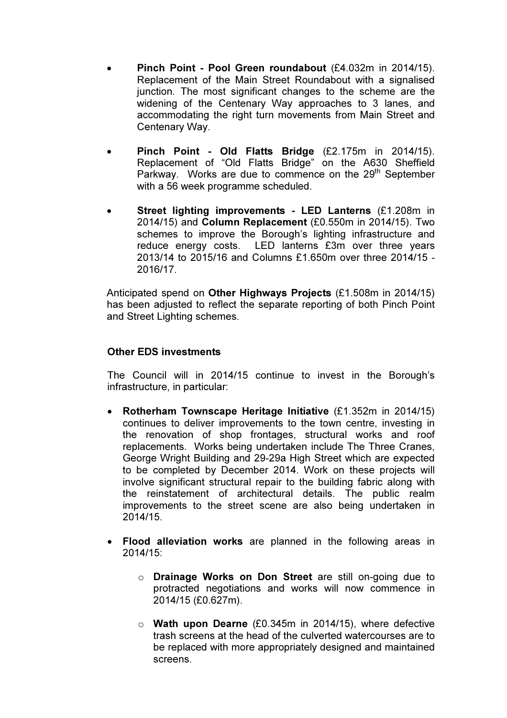- Pinch Point Pool Green roundabout (£4.032m in 2014/15). Replacement of the Main Street Roundabout with a signalised junction. The most significant changes to the scheme are the widening of the Centenary Way approaches to 3 lanes, and accommodating the right turn movements from Main Street and Centenary Way.
- Pinch Point Old Flatts Bridge (£2.175m in 2014/15). Replacement of "Old Flatts Bridge" on the A630 Sheffield Parkway. Works are due to commence on the 29<sup>th</sup> September with a 56 week programme scheduled.
- Street lighting improvements LED Lanterns (£1.208m in 2014/15) and Column Replacement (£0.550m in 2014/15). Two schemes to improve the Borough's lighting infrastructure and reduce energy costs. LED lanterns £3m over three years 2013/14 to 2015/16 and Columns £1.650m over three 2014/15 - 2016/17.

Anticipated spend on Other Highways Projects (£1.508m in 2014/15) has been adjusted to reflect the separate reporting of both Pinch Point and Street Lighting schemes.

#### Other EDS investments

The Council will in 2014/15 continue to invest in the Borough's infrastructure, in particular:

- Rotherham Townscape Heritage Initiative (£1.352m in 2014/15) continues to deliver improvements to the town centre, investing in the renovation of shop frontages, structural works and roof replacements. Works being undertaken include The Three Cranes, George Wright Building and 29-29a High Street which are expected to be completed by December 2014. Work on these projects will involve significant structural repair to the building fabric along with the reinstatement of architectural details. The public realm improvements to the street scene are also being undertaken in 2014/15.
- Flood alleviation works are planned in the following areas in 2014/15:
	- o Drainage Works on Don Street are still on-going due to protracted negotiations and works will now commence in 2014/15 (£0.627m).
	- o Wath upon Dearne (£0.345m in 2014/15), where defective trash screens at the head of the culverted watercourses are to be replaced with more appropriately designed and maintained screens.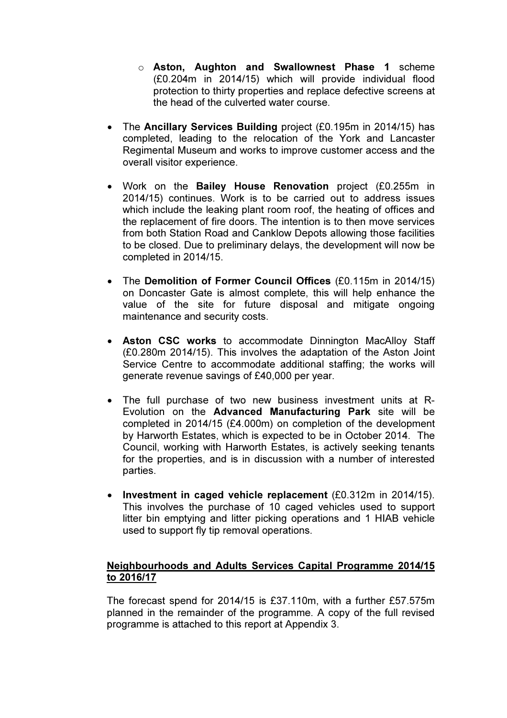- o Aston, Aughton and Swallownest Phase 1 scheme (£0.204m in 2014/15) which will provide individual flood protection to thirty properties and replace defective screens at the head of the culverted water course.
- The Ancillary Services Building project (£0.195m in 2014/15) has completed, leading to the relocation of the York and Lancaster Regimental Museum and works to improve customer access and the overall visitor experience.
- Work on the Bailey House Renovation project (£0.255m in 2014/15) continues. Work is to be carried out to address issues which include the leaking plant room roof, the heating of offices and the replacement of fire doors. The intention is to then move services from both Station Road and Canklow Depots allowing those facilities to be closed. Due to preliminary delays, the development will now be completed in 2014/15.
- The Demolition of Former Council Offices (£0.115m in 2014/15) on Doncaster Gate is almost complete, this will help enhance the value of the site for future disposal and mitigate ongoing maintenance and security costs.
- Aston CSC works to accommodate Dinnington MacAlloy Staff (£0.280m 2014/15). This involves the adaptation of the Aston Joint Service Centre to accommodate additional staffing; the works will generate revenue savings of £40,000 per year.
- The full purchase of two new business investment units at R-Evolution on the Advanced Manufacturing Park site will be completed in 2014/15 (£4.000m) on completion of the development by Harworth Estates, which is expected to be in October 2014. The Council, working with Harworth Estates, is actively seeking tenants for the properties, and is in discussion with a number of interested parties.
- Investment in caged vehicle replacement (£0.312m in 2014/15). This involves the purchase of 10 caged vehicles used to support litter bin emptying and litter picking operations and 1 HIAB vehicle used to support fly tip removal operations.

# Neighbourhoods and Adults Services Capital Programme 2014/15 to 2016/17

The forecast spend for 2014/15 is £37.110m, with a further £57.575m planned in the remainder of the programme. A copy of the full revised programme is attached to this report at Appendix 3.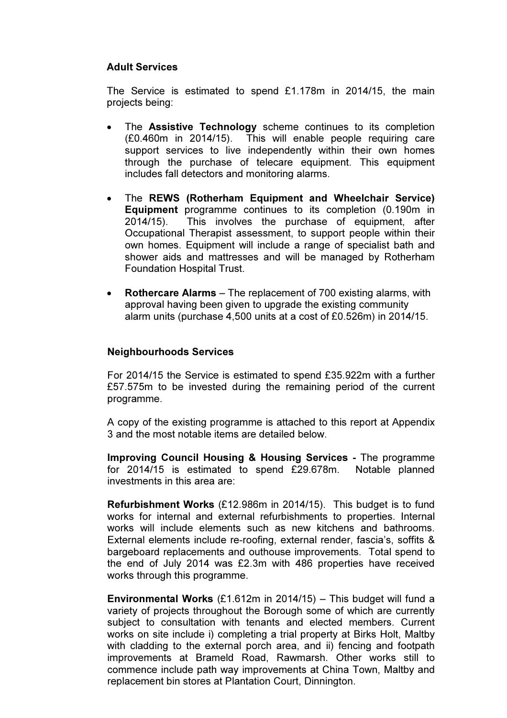#### Adult Services

The Service is estimated to spend £1.178m in 2014/15, the main projects being:

- The **Assistive Technology** scheme continues to its completion (£0.460m in 2014/15). This will enable people requiring care support services to live independently within their own homes through the purchase of telecare equipment. This equipment includes fall detectors and monitoring alarms.
- The REWS (Rotherham Equipment and Wheelchair Service) Equipment programme continues to its completion (0.190m in 2014/15). This involves the purchase of equipment, after Occupational Therapist assessment, to support people within their own homes. Equipment will include a range of specialist bath and shower aids and mattresses and will be managed by Rotherham Foundation Hospital Trust.
- Rothercare Alarms The replacement of 700 existing alarms, with approval having been given to upgrade the existing community alarm units (purchase 4,500 units at a cost of £0.526m) in 2014/15.

#### Neighbourhoods Services

For 2014/15 the Service is estimated to spend £35.922m with a further £57.575m to be invested during the remaining period of the current programme.

A copy of the existing programme is attached to this report at Appendix 3 and the most notable items are detailed below.

Improving Council Housing & Housing Services - The programme for 2014/15 is estimated to spend £29.678m. Notable planned investments in this area are:

Refurbishment Works (£12.986m in 2014/15). This budget is to fund works for internal and external refurbishments to properties. Internal works will include elements such as new kitchens and bathrooms. External elements include re-roofing, external render, fascia's, soffits & bargeboard replacements and outhouse improvements. Total spend to the end of July 2014 was £2.3m with 486 properties have received works through this programme.

**Environmental Works** (£1.612m in 2014/15) – This budget will fund a variety of projects throughout the Borough some of which are currently subject to consultation with tenants and elected members. Current works on site include i) completing a trial property at Birks Holt, Maltby with cladding to the external porch area, and ii) fencing and footpath improvements at Brameld Road, Rawmarsh. Other works still to commence include path way improvements at China Town, Maltby and replacement bin stores at Plantation Court, Dinnington.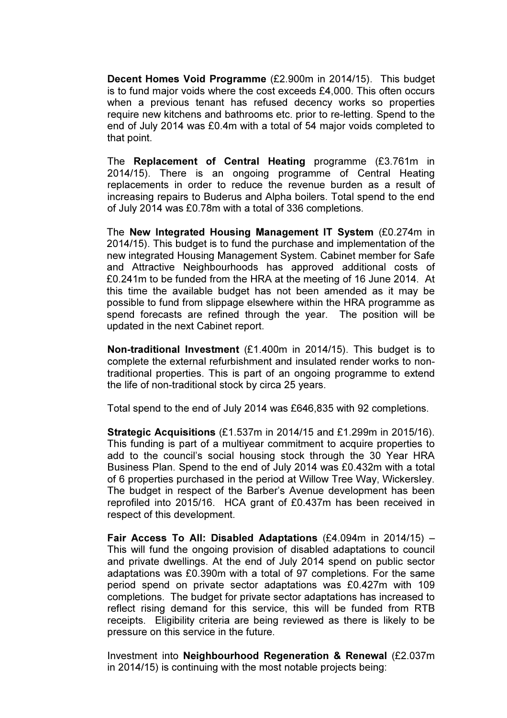Decent Homes Void Programme (£2.900m in 2014/15). This budget is to fund major voids where the cost exceeds £4,000. This often occurs when a previous tenant has refused decency works so properties require new kitchens and bathrooms etc. prior to re-letting. Spend to the end of July 2014 was £0.4m with a total of 54 major voids completed to that point.

The Replacement of Central Heating programme (£3.761m in 2014/15). There is an ongoing programme of Central Heating replacements in order to reduce the revenue burden as a result of increasing repairs to Buderus and Alpha boilers. Total spend to the end of July 2014 was £0.78m with a total of 336 completions.

The New Integrated Housing Management IT System (£0.274m in 2014/15). This budget is to fund the purchase and implementation of the new integrated Housing Management System. Cabinet member for Safe and Attractive Neighbourhoods has approved additional costs of £0.241m to be funded from the HRA at the meeting of 16 June 2014. At this time the available budget has not been amended as it may be possible to fund from slippage elsewhere within the HRA programme as spend forecasts are refined through the year. The position will be updated in the next Cabinet report.

Non-traditional Investment (£1.400m in 2014/15). This budget is to complete the external refurbishment and insulated render works to nontraditional properties. This is part of an ongoing programme to extend the life of non-traditional stock by circa 25 years.

Total spend to the end of July 2014 was £646,835 with 92 completions.

Strategic Acquisitions (£1.537m in 2014/15 and £1.299m in 2015/16). This funding is part of a multiyear commitment to acquire properties to add to the council's social housing stock through the 30 Year HRA Business Plan. Spend to the end of July 2014 was £0.432m with a total of 6 properties purchased in the period at Willow Tree Way, Wickersley. The budget in respect of the Barber's Avenue development has been reprofiled into 2015/16. HCA grant of £0.437m has been received in respect of this development.

**Fair Access To All: Disabled Adaptations (£4.094m in 2014/15) –** This will fund the ongoing provision of disabled adaptations to council and private dwellings. At the end of July 2014 spend on public sector adaptations was £0.390m with a total of 97 completions. For the same period spend on private sector adaptations was £0.427m with 109 completions. The budget for private sector adaptations has increased to reflect rising demand for this service, this will be funded from RTB receipts. Eligibility criteria are being reviewed as there is likely to be pressure on this service in the future.

Investment into Neighbourhood Regeneration & Renewal (£2.037m in 2014/15) is continuing with the most notable projects being: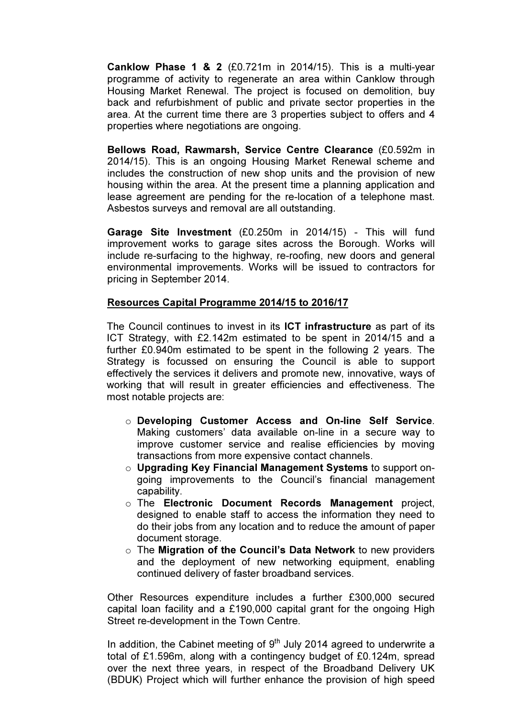Canklow Phase 1 & 2 (£0.721m in 2014/15). This is a multi-year programme of activity to regenerate an area within Canklow through Housing Market Renewal. The project is focused on demolition, buy back and refurbishment of public and private sector properties in the area. At the current time there are 3 properties subject to offers and 4 properties where negotiations are ongoing.

Bellows Road, Rawmarsh, Service Centre Clearance (£0.592m in 2014/15). This is an ongoing Housing Market Renewal scheme and includes the construction of new shop units and the provision of new housing within the area. At the present time a planning application and lease agreement are pending for the re-location of a telephone mast. Asbestos surveys and removal are all outstanding.

Garage Site Investment (£0.250m in 2014/15) - This will fund improvement works to garage sites across the Borough. Works will include re-surfacing to the highway, re-roofing, new doors and general environmental improvements. Works will be issued to contractors for pricing in September 2014.

#### Resources Capital Programme 2014/15 to 2016/17

The Council continues to invest in its ICT infrastructure as part of its ICT Strategy, with £2.142m estimated to be spent in 2014/15 and a further £0.940m estimated to be spent in the following 2 years. The Strategy is focussed on ensuring the Council is able to support effectively the services it delivers and promote new, innovative, ways of working that will result in greater efficiencies and effectiveness. The most notable projects are:

- o Developing Customer Access and On-line Self Service. Making customers' data available on-line in a secure way to improve customer service and realise efficiencies by moving transactions from more expensive contact channels.
- o Upgrading Key Financial Management Systems to support ongoing improvements to the Council's financial management capability.
- o The Electronic Document Records Management project, designed to enable staff to access the information they need to do their jobs from any location and to reduce the amount of paper document storage.
- $\circ$  The Migration of the Council's Data Network to new providers and the deployment of new networking equipment, enabling continued delivery of faster broadband services.

Other Resources expenditure includes a further £300,000 secured capital loan facility and a £190,000 capital grant for the ongoing High Street re-development in the Town Centre.

In addition, the Cabinet meeting of  $9<sup>th</sup>$  July 2014 agreed to underwrite a total of £1.596m, along with a contingency budget of £0.124m, spread over the next three years, in respect of the Broadband Delivery UK (BDUK) Project which will further enhance the provision of high speed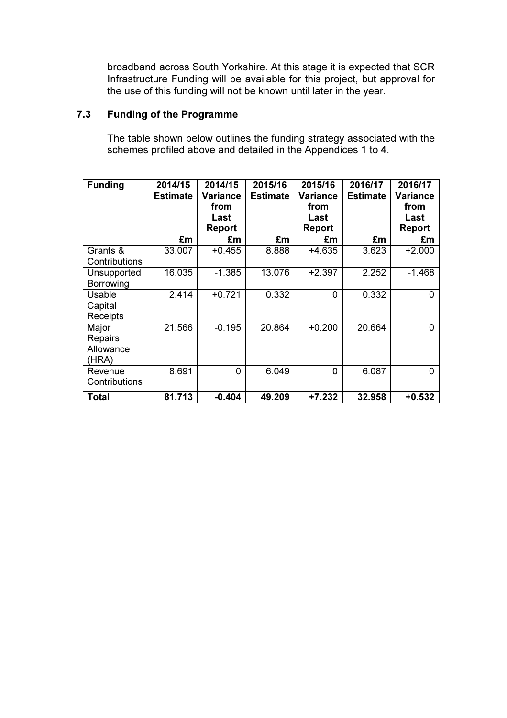broadband across South Yorkshire. At this stage it is expected that SCR Infrastructure Funding will be available for this project, but approval for the use of this funding will not be known until later in the year.

# 7.3 Funding of the Programme

 The table shown below outlines the funding strategy associated with the schemes profiled above and detailed in the Appendices 1 to 4.

| <b>Funding</b>                                | 2014/15<br><b>Estimate</b> | 2014/15<br>Variance<br>from<br>Last<br>Report | 2015/16<br><b>Estimate</b> | 2015/16<br>Variance<br>from<br>Last<br>Report | 2016/17<br><b>Estimate</b> | 2016/17<br><b>Variance</b><br>from<br>Last<br><b>Report</b> |
|-----------------------------------------------|----------------------------|-----------------------------------------------|----------------------------|-----------------------------------------------|----------------------------|-------------------------------------------------------------|
|                                               | £m                         | £m                                            | £m                         | £m                                            | £m                         | £m                                                          |
| Grants &<br>Contributions                     | 33.007                     | $+0.455$                                      | 8.888                      | $+4.635$                                      | 3.623                      | $+2.000$                                                    |
| Unsupported<br>Borrowing                      | 16.035                     | $-1.385$                                      | 13.076                     | $+2.397$                                      | 2.252                      | $-1.468$                                                    |
| <b>Usable</b><br>Capital<br>Receipts          | 2.414                      | $+0.721$                                      | 0.332                      | $\Omega$                                      | 0.332                      | 0                                                           |
| Major<br><b>Repairs</b><br>Allowance<br>(HRA) | 21.566                     | $-0.195$                                      | 20.864                     | $+0.200$                                      | 20.664                     | 0                                                           |
| Revenue<br>Contributions                      | 8.691                      | 0                                             | 6.049                      | 0                                             | 6.087                      | 0                                                           |
| Total                                         | 81.713                     | $-0.404$                                      | 49.209                     | +7.232                                        | 32.958                     | $+0.532$                                                    |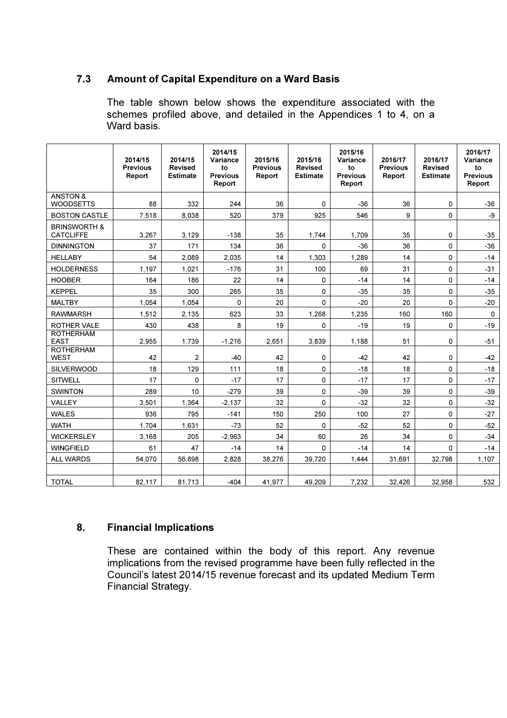# 7.3 Amount of Capital Expenditure on a Ward Basis

The table shown below shows the expenditure associated with the schemes profiled above, and detailed in the Appendices 1 to 4, on a Ward basis.

|                                             | 2014/15<br><b>Previous</b><br>Report | 2014/15<br><b>Revised</b><br><b>Estimate</b> | 2014/15<br>Variance<br>to<br><b>Previous</b><br>Report | 2015/16<br><b>Previous</b><br>Report | 2015/16<br><b>Revised</b><br><b>Estimate</b> | 2015/16<br>Variance<br>to<br><b>Previous</b><br>Report | 2016/17<br><b>Previous</b><br>Report | 2016/17<br><b>Revised</b><br><b>Estimate</b> | 2016/17<br>Variance<br>to<br><b>Previous</b><br>Report |
|---------------------------------------------|--------------------------------------|----------------------------------------------|--------------------------------------------------------|--------------------------------------|----------------------------------------------|--------------------------------------------------------|--------------------------------------|----------------------------------------------|--------------------------------------------------------|
| <b>ANSTON &amp;</b><br><b>WOODSETTS</b>     | 88                                   | 332                                          | 244                                                    | 36                                   | $\Omega$                                     | $-36$                                                  | 36                                   | $\Omega$                                     | -36                                                    |
| <b>BOSTON CASTLE</b>                        | 7,518                                | 8,038                                        | 520                                                    | 379                                  | 925                                          | 546                                                    | 9                                    | 0                                            | -9                                                     |
| <b>BRINSWORTH &amp;</b><br><b>CATCLIFFE</b> | 3,267                                | 3,129                                        | $-138$                                                 | 35                                   | 1,744                                        | 1.709                                                  | 35                                   | 0                                            | $-35$                                                  |
| <b>DINNINGTON</b>                           | 37                                   | 171                                          | 134                                                    | 36                                   | 0                                            | $-36$                                                  | 36                                   | 0                                            | $-36$                                                  |
| <b>HELLABY</b>                              | 54                                   | 2,089                                        | 2,035                                                  | 14                                   | 1,303                                        | 1,289                                                  | 14                                   | 0                                            | $-14$                                                  |
| <b>HOLDERNESS</b>                           | 1,197                                | 1,021                                        | $-176$                                                 | 31                                   | 100                                          | 69                                                     | 31                                   | 0                                            | $-31$                                                  |
| <b>HOOBER</b>                               | 164                                  | 186                                          | 22                                                     | 14                                   | $\Omega$                                     | $-14$                                                  | 14                                   | $\Omega$                                     | $-14$                                                  |
| <b>KEPPEL</b>                               | 35                                   | 300                                          | 265                                                    | 35                                   | 0                                            | $-35$                                                  | 35                                   | 0                                            | $-35$                                                  |
| <b>MALTBY</b>                               | 1,054                                | 1.054                                        | $\Omega$                                               | 20                                   | $\Omega$                                     | $-20$                                                  | 20                                   | 0                                            | $-20$                                                  |
| <b>RAWMARSH</b>                             | 1,512                                | 2,135                                        | 623                                                    | 33                                   | 1,268                                        | 1,235                                                  | 160                                  | 160                                          | $\mathsf{O}$                                           |
| ROTHER VALE                                 | 430                                  | 438                                          | 8                                                      | 19                                   | $\Omega$                                     | $-19$                                                  | 19                                   | 0                                            | $-19$                                                  |
| <b>ROTHERHAM</b><br><b>EAST</b>             | 2,955                                | 1,739                                        | $-1,216$                                               | 2,651                                | 3,839                                        | 1,188                                                  | 51                                   | 0                                            | $-51$                                                  |
| <b>ROTHERHAM</b><br><b>WEST</b>             | 42                                   | $\overline{c}$                               | $-40$                                                  | 42                                   | 0                                            | $-42$                                                  | 42                                   | 0                                            | $-42$                                                  |
| <b>SILVERWOOD</b>                           | 18                                   | 129                                          | 111                                                    | 18                                   | $\Omega$                                     | $-18$                                                  | 18                                   | 0                                            | $-18$                                                  |
| <b>SITWELL</b>                              | 17                                   | 0                                            | $-17$                                                  | 17                                   | 0                                            | $-17$                                                  | 17                                   | 0                                            | $-17$                                                  |
| <b>SWINTON</b>                              | 289                                  | 10                                           | $-279$                                                 | 39                                   | 0                                            | $-39$                                                  | 39                                   | 0                                            | $-39$                                                  |
| <b>VALLEY</b>                               | 3.501                                | 1.364                                        | $-2,137$                                               | 32                                   | $\Omega$                                     | $-32$                                                  | 32                                   | 0                                            | $-32$                                                  |
| <b>WALES</b>                                | 936                                  | 795                                          | $-141$                                                 | 150                                  | 250                                          | 100                                                    | 27                                   | 0                                            | $-27$                                                  |
| <b>WATH</b>                                 | 1,704                                | 1,631                                        | $-73$                                                  | 52                                   | 0                                            | $-52$                                                  | 52                                   | 0                                            | $-52$                                                  |
| <b>WICKERSLEY</b>                           | 3,168                                | 205                                          | $-2,963$                                               | 34                                   | 60                                           | 26                                                     | 34                                   | 0                                            | $-34$                                                  |
| <b>WINGFIELD</b>                            | 61                                   | 47                                           | $-14$                                                  | 14                                   | $\mathbf{0}$                                 | $-14$                                                  | 14                                   | 0                                            | $-14$                                                  |
| <b>ALL WARDS</b>                            | 54.070                               | 56.898                                       | 2.828                                                  | 38,276                               | 39.720                                       | 1.444                                                  | 31,691                               | 32,798                                       | 1,107                                                  |
|                                             |                                      |                                              |                                                        |                                      |                                              |                                                        |                                      |                                              |                                                        |
| <b>TOTAL</b>                                | 82,117                               | 81,713                                       | $-404$                                                 | 41.977                               | 49.209                                       | 7,232                                                  | 32,426                               | 32,958                                       | 532                                                    |

# 8. Financial Implications

These are contained within the body of this report. Any revenue implications from the revised programme have been fully reflected in the Council's latest 2014/15 revenue forecast and its updated Medium Term Financial Strategy.